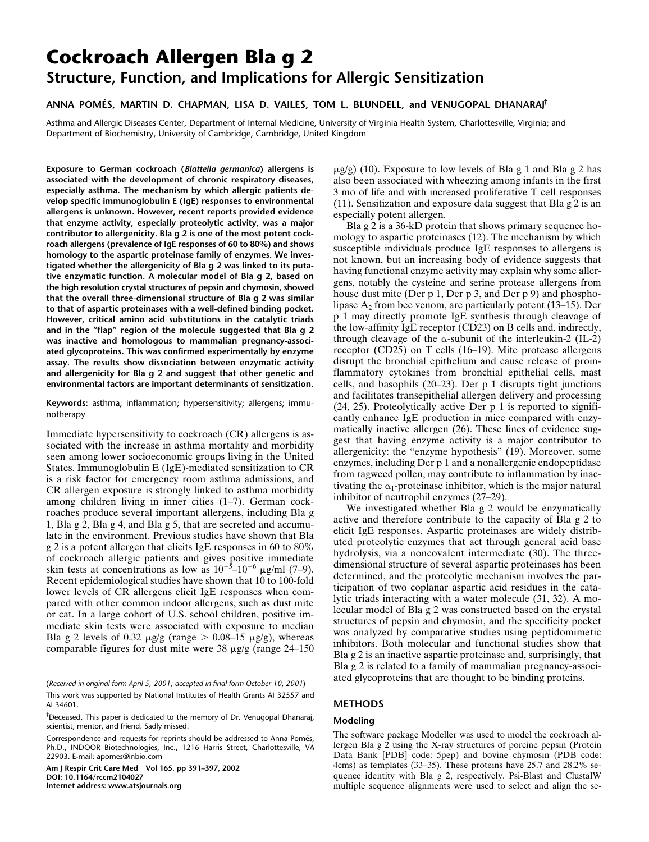# **Cockroach Allergen Bla g 2 Structure, Function, and Implications for Allergic Sensitization**

# **ANNA POMÉS, MARTIN D. CHAPMAN, LISA D. VAILES, TOM L. BLUNDELL, and VENUGOPAL DHANARAJ†**

Asthma and Allergic Diseases Center, Department of Internal Medicine, University of Virginia Health System, Charlottesville, Virginia; and Department of Biochemistry, University of Cambridge, Cambridge, United Kingdom

**Exposure to German cockroach (***Blattella germanica***) allergens is associated with the development of chronic respiratory diseases, especially asthma. The mechanism by which allergic patients develop specific immunoglobulin E (IgE) responses to environmental allergens is unknown. However, recent reports provided evidence that enzyme activity, especially proteolytic activity, was a major contributor to allergenicity. Bla g 2 is one of the most potent cockroach allergens (prevalence of IgE responses of 60 to 80%) and shows homology to the aspartic proteinase family of enzymes. We investigated whether the allergenicity of Bla g 2 was linked to its putative enzymatic function. A molecular model of Bla g 2, based on the high resolution crystal structures of pepsin and chymosin, showed that the overall three-dimensional structure of Bla g 2 was similar to that of aspartic proteinases with a well-defined binding pocket. However, critical amino acid substitutions in the catalytic triads and in the "flap" region of the molecule suggested that Bla g 2 was inactive and homologous to mammalian pregnancy-associated glycoproteins. This was confirmed experimentally by enzyme assay. The results show dissociation between enzymatic activity and allergenicity for Bla g 2 and suggest that other genetic and environmental factors are important determinants of sensitization.**

**Keywords:** asthma; inflammation; hypersensitivity; allergens; immunotherapy

Immediate hypersensitivity to cockroach (CR) allergens is associated with the increase in asthma mortality and morbidity seen among lower socioeconomic groups living in the United States. Immunoglobulin E (IgE)-mediated sensitization to CR is a risk factor for emergency room asthma admissions, and CR allergen exposure is strongly linked to asthma morbidity among children living in inner cities (1–7). German cockroaches produce several important allergens, including Bla g 1, Bla g 2, Bla g 4, and Bla g 5, that are secreted and accumulate in the environment. Previous studies have shown that Bla g 2 is a potent allergen that elicits IgE responses in 60 to 80% of cockroach allergic patients and gives positive immediate skin tests at concentrations as low as  $10^{-5}$ – $10^{-6}$   $\mu$ g/ml (7–9). Recent epidemiological studies have shown that 10 to 100-fold lower levels of CR allergens elicit IgE responses when compared with other common indoor allergens, such as dust mite or cat. In a large cohort of U.S. school children, positive immediate skin tests were associated with exposure to median Bla g 2 levels of 0.32  $\mu$ g/g (range  $> 0.08-15 \mu$ g/g), whereas comparable figures for dust mite were  $38 \mu\text{g/g}$  (range 24–150)

**Am J Respir Crit Care Med Vol 165. pp 391–397, 2002 DOI: 10.1164/rccm2104027 Internet address: www.atsjournals.org**

 $\mu$ g/g) (10). Exposure to low levels of Bla g 1 and Bla g 2 has also been associated with wheezing among infants in the first 3 mo of life and with increased proliferative T cell responses (11). Sensitization and exposure data suggest that Bla g 2 is an especially potent allergen.

Bla g 2 is a 36-kD protein that shows primary sequence homology to aspartic proteinases (12). The mechanism by which susceptible individuals produce IgE responses to allergens is not known, but an increasing body of evidence suggests that having functional enzyme activity may explain why some allergens, notably the cysteine and serine protease allergens from house dust mite (Der p 1, Der p 3, and Der p 9) and phospholipase  $A_2$  from bee venom, are particularly potent (13–15). Der p 1 may directly promote IgE synthesis through cleavage of the low-affinity IgE receptor (CD23) on B cells and, indirectly, through cleavage of the  $\alpha$ -subunit of the interleukin-2 (IL-2) receptor (CD25) on T cells (16–19). Mite protease allergens disrupt the bronchial epithelium and cause release of proinflammatory cytokines from bronchial epithelial cells, mast cells, and basophils (20–23). Der p 1 disrupts tight junctions and facilitates transepithelial allergen delivery and processing (24, 25). Proteolytically active Der p 1 is reported to significantly enhance IgE production in mice compared with enzymatically inactive allergen (26). These lines of evidence suggest that having enzyme activity is a major contributor to allergenicity: the "enzyme hypothesis" (19). Moreover, some enzymes, including Der p 1 and a nonallergenic endopeptidase from ragweed pollen, may contribute to inflammation by inactivating the  $\alpha_1$ -proteinase inhibitor, which is the major natural inhibitor of neutrophil enzymes (27–29).

We investigated whether Bla g 2 would be enzymatically active and therefore contribute to the capacity of Bla g 2 to elicit IgE responses. Aspartic proteinases are widely distributed proteolytic enzymes that act through general acid base hydrolysis, via a noncovalent intermediate (30). The threedimensional structure of several aspartic proteinases has been determined, and the proteolytic mechanism involves the participation of two coplanar aspartic acid residues in the catalytic triads interacting with a water molecule (31, 32). A molecular model of Bla g 2 was constructed based on the crystal structures of pepsin and chymosin, and the specificity pocket was analyzed by comparative studies using peptidomimetic inhibitors. Both molecular and functional studies show that Bla g 2 is an inactive aspartic proteinase and, surprisingly, that Bla g 2 is related to a family of mammalian pregnancy-associated glycoproteins that are thought to be binding proteins.

## **METHODS**

#### **Modeling**

The software package Modeller was used to model the cockroach allergen Bla g 2 using the X-ray structures of porcine pepsin (Protein Data Bank [PDB] code: 5pep) and bovine chymosin (PDB code: 4cms) as templates (33–35). These proteins have 25.7 and 28.2% sequence identity with Bla g 2, respectively. Psi-Blast and ClustalW multiple sequence alignments were used to select and align the se-

<sup>(</sup>*Received in original form April 5, 2001; accepted in final form October 10, 2001*) This work was supported by National Institutes of Health Grants AI 32557 and AI 34601.

<sup>&</sup>lt;sup>†</sup>Deceased. This paper is dedicated to the memory of Dr. Venugopal Dhanaraj, scientist, mentor, and friend. Sadly missed.

Correspondence and requests for reprints should be addressed to Anna Pomés, Ph.D., INDOOR Biotechnologies, Inc., 1216 Harris Street, Charlottesville, VA 22903. E-mail: apomes@inbio.com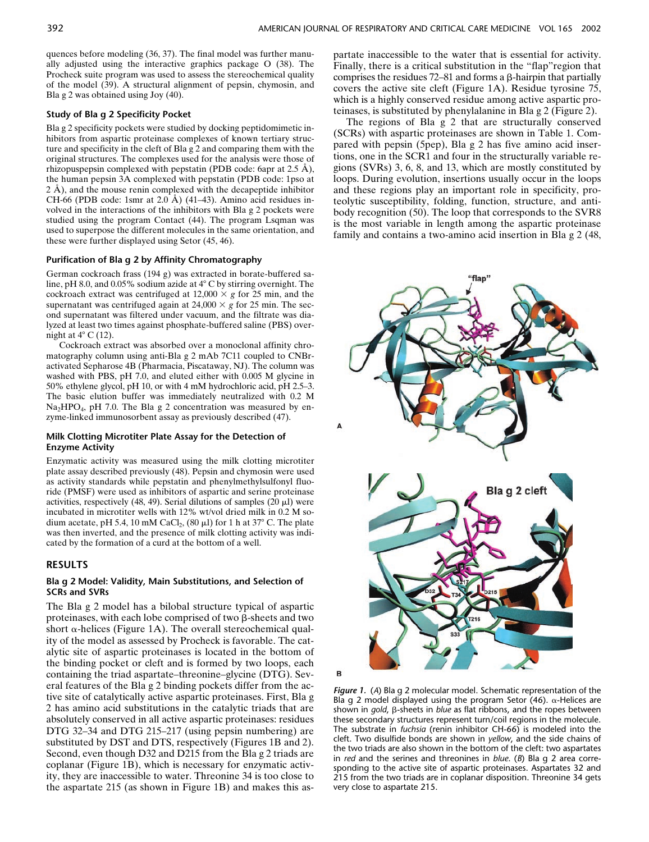quences before modeling (36, 37). The final model was further manually adjusted using the interactive graphics package O (38). The Procheck suite program was used to assess the stereochemical quality of the model (39). A structural alignment of pepsin, chymosin, and Bla g 2 was obtained using Joy (40).

#### **Study of Bla g 2 Specificity Pocket**

Bla g 2 specificity pockets were studied by docking peptidomimetic inhibitors from aspartic proteinase complexes of known tertiary structure and specificity in the cleft of Bla g 2 and comparing them with the original structures. The complexes used for the analysis were those of rhizopuspepsin complexed with pepstatin (PDB code: 6apr at 2.5 Å), the human pepsin 3A complexed with pepstatin (PDB code: 1pso at 2 Å), and the mouse renin complexed with the decapeptide inhibitor CH-66 (PDB code: 1smr at  $2.0$  Å) (41–43). Amino acid residues involved in the interactions of the inhibitors with Bla g 2 pockets were studied using the program Contact (44). The program Lsqman was used to superpose the different molecules in the same orientation, and these were further displayed using Setor (45, 46).

#### **Purification of Bla g 2 by Affinity Chromatography**

German cockroach frass (194 g) was extracted in borate-buffered saline, pH 8.0, and 0.05% sodium azide at  $4^{\circ}$  C by stirring overnight. The cockroach extract was centrifuged at  $12,000 \times g$  for 25 min, and the supernatant was centrifuged again at  $24,000 \times g$  for 25 min. The second supernatant was filtered under vacuum, and the filtrate was dialyzed at least two times against phosphate-buffered saline (PBS) overnight at  $4^{\circ}$  C (12).

Cockroach extract was absorbed over a monoclonal affinity chromatography column using anti-Bla g 2 mAb 7C11 coupled to CNBractivated Sepharose 4B (Pharmacia, Piscataway, NJ). The column was washed with PBS, pH 7.0, and eluted either with 0.005 M glycine in 50% ethylene glycol, pH 10, or with 4 mM hydrochloric acid, pH 2.5–3. The basic elution buffer was immediately neutralized with 0.2 M  $Na<sub>2</sub>HPO<sub>4</sub>$ , pH 7.0. The Bla g 2 concentration was measured by enzyme-linked immunosorbent assay as previously described (47).

#### **Milk Clotting Microtiter Plate Assay for the Detection of Enzyme Activity**

Enzymatic activity was measured using the milk clotting microtiter plate assay described previously (48). Pepsin and chymosin were used as activity standards while pepstatin and phenylmethylsulfonyl fluoride (PMSF) were used as inhibitors of aspartic and serine proteinase activities, respectively (48, 49). Serial dilutions of samples (20  $\mu$ l) were incubated in microtiter wells with 12% wt/vol dried milk in 0.2 M sodium acetate, pH 5.4, 10 mM CaCl<sub>2</sub>, (80  $\mu$ l) for 1 h at 37° C. The plate was then inverted, and the presence of milk clotting activity was indicated by the formation of a curd at the bottom of a well.

## **RESULTS**

### **Bla g 2 Model: Validity, Main Substitutions, and Selection of SCRs and SVRs**

The Bla g 2 model has a bilobal structure typical of aspartic proteinases, with each lobe comprised of two  $\beta$ -sheets and two short  $\alpha$ -helices (Figure 1A). The overall stereochemical quality of the model as assessed by Procheck is favorable. The catalytic site of aspartic proteinases is located in the bottom of the binding pocket or cleft and is formed by two loops, each containing the triad aspartate–threonine–glycine (DTG). Several features of the Bla g 2 binding pockets differ from the active site of catalytically active aspartic proteinases. First, Bla g 2 has amino acid substitutions in the catalytic triads that are absolutely conserved in all active aspartic proteinases: residues DTG 32–34 and DTG 215–217 (using pepsin numbering) are substituted by DST and DTS, respectively (Figures 1B and 2). Second, even though D32 and D215 from the Bla g 2 triads are coplanar (Figure 1B), which is necessary for enzymatic activity, they are inaccessible to water. Threonine 34 is too close to the aspartate 215 (as shown in Figure 1B) and makes this aspartate inaccessible to the water that is essential for activity. Finally, there is a critical substitution in the "flap"region that comprises the residues  $72-81$  and forms a  $\beta$ -hairpin that partially covers the active site cleft (Figure 1A). Residue tyrosine 75, which is a highly conserved residue among active aspartic proteinases, is substituted by phenylalanine in Bla g 2 (Figure 2).

The regions of Bla g 2 that are structurally conserved (SCRs) with aspartic proteinases are shown in Table 1. Compared with pepsin (5pep), Bla g 2 has five amino acid insertions, one in the SCR1 and four in the structurally variable regions (SVRs) 3, 6, 8, and 13, which are mostly constituted by loops. During evolution, insertions usually occur in the loops and these regions play an important role in specificity, proteolytic susceptibility, folding, function, structure, and antibody recognition (50). The loop that corresponds to the SVR8 is the most variable in length among the aspartic proteinase family and contains a two-amino acid insertion in Bla g 2 (48,





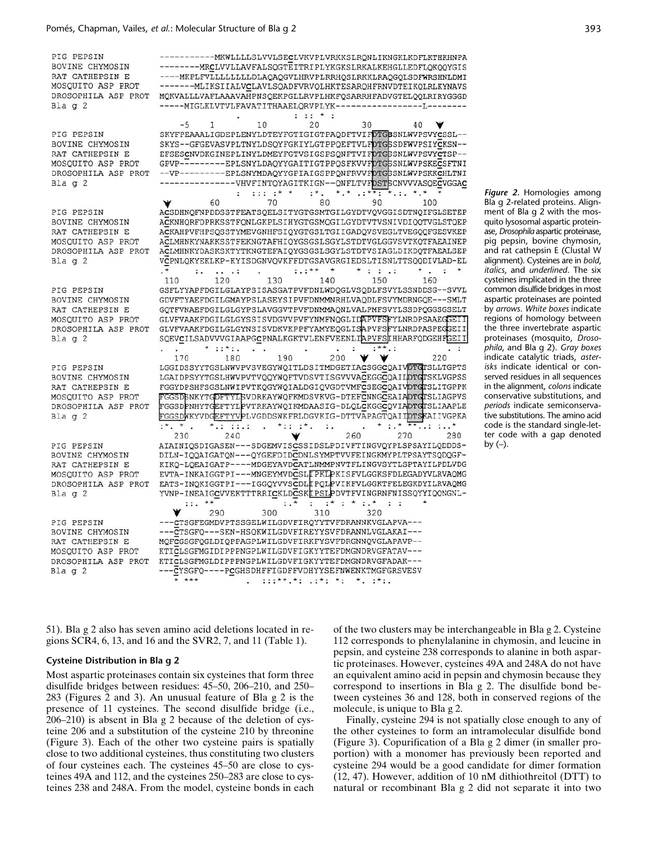PIG PEPSIN BOVINE CHYMOSIN RAT CATHEPSIN E MOSQUITO ASP PROT DROSOPHILA ASP PROT  $Bla q 2$ -----MIGLKLVTVLFAVATITHAAELQRVPLYK------------------L------- $: 1: * :$  $\sim$ PIG PEPSIN **BOVINE CHYMO** RAT CATHEPSI MOSQUITO ASP DROSOPHILA A Bla  $q$  2 PIG PEPSIN BOVINE CHYMO RAT CATHEPSI MOSQUITO ASP DROSOPHILA A  $Bla g 2$ PIG PEPSIN **BOVINE CHYMO** RAT CATHEPSI MOSQUITO ASP DROSOPHILA A  $Bla q 2$ PIG PEPSIN BOVINE CHYMO RAT CATHEPSI MOSQUITO ASP DROSOPHILA A Blag 2 PIG PEPSIN BOVINE CHYMO RAT CATHEPSI MOSQUITO ASP DROSOPHILA A

PIG PEPSIN BOVINE CHYMO RAT CATHEPSI MOSQUITO ASP DROSOPHILA A Blag 2

 $Bla g 2$ 

---------MRCLVVLLAVFALSQGTEITRIPLYKGKSLRKALKEHGLLEDFLQKQQYGIS ----MKPLFVLLLLLLLLLDLAQAQGVLHRVPLRRHQSLRKKLRAQGQLSDFWRSHNLDMI -------MLIKSIIALVCLAVLSQADFVRVQLHKTESARQHFRNVDTEIKQLRLKYNAVS MQKVALLLVAFLAAAVAHPNSQEKPGLLRVPLHKFQSARRHFADVGTELQQLRIRYGGGD

|         | $-5$      | 1                 | 10             | 20                   | 30                                                  | 40                                                           |
|---------|-----------|-------------------|----------------|----------------------|-----------------------------------------------------|--------------------------------------------------------------|
|         |           |                   |                |                      |                                                     | SKYFPEAAALIGDEPLENYLDTEYFGTIGIGTPAQDFTVIFDTGSSNLWVPSVYCSSL-- |
| SIN     |           |                   |                |                      |                                                     | SKYS--GFGEVASVPLTNYLDSQYFGKIYLGTPPQEFTVLFDTGSSDFWVPSIYCKSN-- |
| N E     |           |                   |                |                      |                                                     | EFSESCNVDKGINEPLINYLDMEYFGTVSIGSPSONFTVIFDTG5SNLWVPSVYCTSP-- |
| PROT    |           |                   |                |                      |                                                     | GPVP---------EPLSNYLDAQYYGAITIGTPPQSFKVVFDTG5SNLWVPSKECSFTNI |
| SP PROT |           |                   |                |                      |                                                     | --VP---------EPLSNYMDAOYYGPIAIGSPPONFRVVFDTGSSNLWVPSKKCHLTNI |
|         |           |                   |                |                      |                                                     | ---------------VHVFINTOYAGITKIGN--ONFLTVFDSTSCNVVVASOECVGGAC |
|         |           |                   |                |                      | x, x, , x, x, , x, x                                |                                                              |
|         |           | ÷                 | $: 1: 1 * * *$ | $: *$ .              |                                                     |                                                              |
|         |           | 60                | 70             | 80                   | 90                                                  | 100                                                          |
|         |           |                   |                |                      |                                                     | ACSDHNQFNPDDSSTFEATSQELSITYGTGSMTGILGYDTVQVGGISDTNQIFGLSETEP |
| SIN     |           |                   |                |                      |                                                     | ACKNHORFDPRKSSTFONLGKPLSIHYGTGSMOGILGYDTVTVSNIVDIOOTVGLSTOEP |
| N E     |           |                   |                |                      |                                                     | ACKAHPVFHPSOSSTYMEVGNHFSIOYGTGSLTGIIGADQVSVEGLTVEGOOFGESVKEP |
| PROT    |           |                   |                |                      |                                                     | ACLMHNKYNAKKSSTFEKNGTAFHIOYGSGSLSGYLSTDTVGLGGVSVTKOTFAEAINEP |
| SP PROT |           |                   |                |                      |                                                     | ACLMHNKYDASKSKTYTKNGTEFAIQYGSGSLSGYLSTDTVSIAGLDIKDQTFAEALSEP |
|         |           |                   |                |                      |                                                     | VCPNLQKYEKLKP-KYISDGNVQVKFFDTGSAVGRGIEDSLTISNLTTSQQDIVLAD-EL |
|         | ٠.        | $\cdots$ $\cdots$ |                | $: +$<br>$^\star$    | $*$ : : .:                                          | $\mathcal{L}_{\mathbf{m}}$<br>÷                              |
|         | 110       | 120               | 130            | 140                  | 150                                                 | 160                                                          |
|         |           |                   |                |                      |                                                     | GSFLYYAPFDGILGLAYPSISASGATPVFDNLWDQGLVSQDLFSVYLSSNDDSG--SVVL |
| SIN     |           |                   |                |                      |                                                     | GDVFTYAEFDGILGMAYPSLASEYSIPVFDNMMNRHLVAQDLFSVYMDRNGQE---SMLT |
| N E     |           |                   |                |                      |                                                     | GOTFVNAEFDGILGLGYPSLAVGGVTPVFDNMMAQNLVALPMFSVYLSSDPQGGSGSELT |
| PROT    |           |                   |                |                      |                                                     | GLVFVAAKFDGILGLGYSSISVDGVVPVFYNMFNQGLIDAPVFSFYLNRDPSAAEGGEII |
| SP PROT |           |                   |                |                      |                                                     | GLVFVAAKFDGILGLGYNSISVDKVKPPFYAMYEQGLISAPVFSFYLNRDPASPEGGEII |
|         |           |                   |                |                      |                                                     |                                                              |
|         |           |                   |                |                      |                                                     | SQEVCILSADVVVGIAAPGCPNALKGKTVLENFVEENLIAPVFSIHHARFQDGEHFGEII |
|         |           | $*$ ::*:.         |                |                      |                                                     | $\ddot{\phantom{1}}$                                         |
|         | 170       | 180               | 190            | 200                  |                                                     | 220                                                          |
|         |           |                   |                |                      |                                                     | LGGIDSSYYTGSLNWVPVSVEGYWQITLDSITMDGETIACSGGCQAIVDTGTSLLTGPTS |
| SIN     |           |                   |                |                      |                                                     | LGAIDPSYYTGSLHWVPVTVQQYWQFTVDSVTISGVVVACEGGCQAILDTGTSKLVGPSS |
| N E     |           |                   |                |                      |                                                     | FGGYDPSHFSGSLNWIPVTKQGYWQIALDGIQVGDTVMFCSEGCQAIVDTGTSLITGPPK |
| PROT    |           |                   |                |                      |                                                     | FGGSDSNKYTGDFTYLSVDRKAYWQFKMDSVKVG-DTEFCNNGCEAIADTGTSLIAGPVS |
| SP PROT |           |                   |                |                      |                                                     | FGGSDPNHYTGEFTYLPVTRKAYWQIKMDAASIG-DLQLCKGGCQVIADTGTSLIAAPLE |
|         |           |                   |                |                      |                                                     | FGGSDWKYVDGEFTYVPLVGDDSWKFRLDGVKIG-DTTVAPAGTQAIIDTSKAIIVGPKA |
|         | $:$ * * . | *.: ::.:          | $*$ :: :*.     | $\vdots$             |                                                     | $*$ : $*$ $*$<br>$\cdot \cdot \cdot$ $^{\star}$              |
|         | 230       | 240               |                |                      | 260                                                 | 270<br>280                                                   |
|         |           |                   |                |                      |                                                     | AIAINIOSDIGASEN---SDGEMVISCSSIDSLPDIVFTINGVOYPLSPSAYILODDDS- |
| SIN     |           |                   |                |                      |                                                     | DILN-IOOAIGATON---OYGEFDIDCDNLSYMPTVVFEINGKMYPLTPSAYTSODOGF- |
| N E     |           |                   |                |                      |                                                     | KIKQ-LQEAIGATP----MDGEYAVDCATLNMMPNVTFLINGVSYTLSPTAYILPDLVDG |
| PROT    |           |                   |                |                      |                                                     | EVTA-INKAIGGTPI---MNGEYMVDCSLEPKLPKISFVLGGKSFDLEGADYVLRVAQMG |
| SP PROT |           |                   |                |                      |                                                     | EATS-INOKIGGTPI---IGGOYVVSCDLIPOLPVIKFVLGGKTFELEGKDYILRVAQMG |
|         |           |                   |                |                      |                                                     | YVNP-INEAIGCVVEKTTTRRICKLDCSKIPSLPDVTFVINGRNFNISSQYYIQQNGNL- |
|         | $::. **$  |                   | $: . *$        | $\ddot{\phantom{a}}$ | $: * : * :.*$                                       | $\mathbf{1}$ :                                               |
|         |           | 290               | 300            | 310                  | 320                                                 |                                                              |
|         |           |                   |                |                      | ---CTSGFEGMDVPTSSGELWILGDVFIROYYTVFDRANNKVGLAPVA--- |                                                              |
|         |           |                   |                |                      |                                                     |                                                              |
| SIN     |           |                   |                |                      | ---CTSGFQ---SEN-HSQKWILGDVFIREYYSVFDRANNLVGLAKAI--- |                                                              |
| N E     |           |                   |                |                      | MQFCGSGFQGLDIQPPAGPLWILGDVFIRKFYSVFDRGNNQVGLAPAVP-- |                                                              |
| PROT    |           |                   |                |                      | KTICLSGFMGIDIPPPNGPLWILGDVFIGKYYTEFDMGNDRVGFATAV--- |                                                              |
| SP PROT |           |                   |                |                      | KTICLSGFMGLDIPPPNGPLWILGDVFIGKYYTEFDMGNDRVGFADAK--- |                                                              |
|         |           |                   |                |                      | --CYSGFQ----PCGHSDHFFIGDFFVDHYYSEFNWENKTMGFGRSVESV  |                                                              |
|         | $* * * *$ |                   |                | $1:2***.*: .2**:.*:$ |                                                     |                                                              |

*Figure 2.* Homologies among Bla g 2-related proteins. Alignment of Bla g 2 with the mosquito lysosomal aspartic proteinase, *Drosophila* aspartic proteinase, pig pepsin, bovine chymosin, and rat cathepsin E (Clustal W alignment). Cysteines are in *bold*, *italics*, and *underlined*. The six cysteines implicated in the three common disulfide bridges in most aspartic proteinases are pointed by *arrows*. *White boxes* indicate regions of homology between the three invertebrate aspartic proteinases (mosquito, *Drosophila*, and Bla g 2). *Gray boxes* indicate catalytic triads, *asterisks* indicate identical or conserved residues in all sequences in the alignment, *colons* indicate conservative substitutions, and *periods* indicate semiconservative substitutions. The amino acid code is the standard single-letter code with a gap denoted by  $(-)$ .

51). Bla g 2 also has seven amino acid deletions located in regions SCR4, 6, 13, and 16 and the SVR2, 7, and 11 (Table 1).

#### **Cysteine Distribution in Bla g 2**

Most aspartic proteinases contain six cysteines that form three disulfide bridges between residues: 45–50, 206–210, and 250– 283 (Figures 2 and 3). An unusual feature of Bla g 2 is the presence of 11 cysteines. The second disulfide bridge (i.e., 206–210) is absent in Bla g 2 because of the deletion of cysteine 206 and a substitution of the cysteine 210 by threonine (Figure 3). Each of the other two cysteine pairs is spatially close to two additional cysteines, thus constituting two clusters of four cysteines each. The cysteines 45–50 are close to cysteines 49A and 112, and the cysteines 250–283 are close to cysteines 238 and 248A. From the model, cysteine bonds in each

of the two clusters may be interchangeable in Bla g 2. Cysteine 112 corresponds to phenylalanine in chymosin, and leucine in pepsin, and cysteine 238 corresponds to alanine in both aspartic proteinases. However, cysteines 49A and 248A do not have an equivalent amino acid in pepsin and chymosin because they correspond to insertions in Bla g 2. The disulfide bond between cysteines 36 and 128, both in conserved regions of the molecule, is unique to Bla g 2.

Finally, cysteine 294 is not spatially close enough to any of the other cysteines to form an intramolecular disulfide bond (Figure 3). Copurification of a Bla g 2 dimer (in smaller proportion) with a monomer has previously been reported and cysteine 294 would be a good candidate for dimer formation (12, 47). However, addition of 10 nM dithiothreitol (DTT) to natural or recombinant Bla g 2 did not separate it into two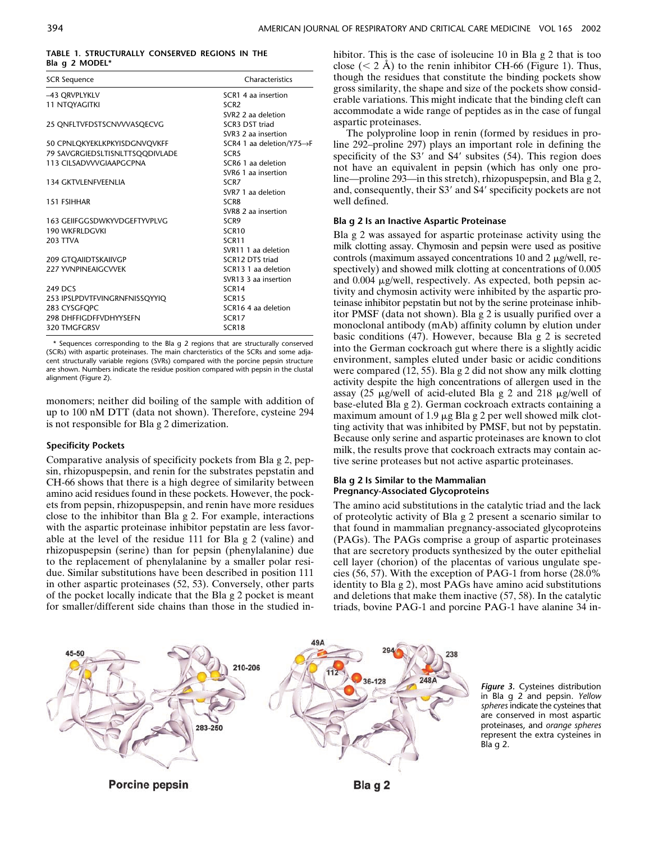## **TABLE 1. STRUCTURALLY CONSERVED REGIONS IN THE Bla g 2 MODEL\***

| <b>SCR Sequence</b>             | Characteristics                        |
|---------------------------------|----------------------------------------|
| -43 QRVPLYKLV                   | SCR1 4 aa insertion                    |
| <b>11 NTOYAGITKI</b>            | SCR <sub>2</sub>                       |
|                                 | SVR2 2 aa deletion                     |
| 25 ONFLTVFDSTSCNVVVASQECVG      | SCR3 DST triad                         |
|                                 | SVR3 2 aa insertion                    |
| 50 CPNLQKYEKLKPKYISDGNVQVKFF    | SCR4 1 aa deletion/Y75 $\rightarrow$ F |
| 79 SAVGRGIEDSLTISNLTTSQQDIVLADE | SCR <sub>5</sub>                       |
| 113 CILSADVVVGIAAPGCPNA         | SCR6 1 aa deletion                     |
|                                 | SVR6 1 aa insertion                    |
| 134 GKTVLENFVEENLIA             | SCR <sub>7</sub>                       |
|                                 | SVR7 1 aa deletion                     |
| 151 FSIHHAR                     | <b>SCR8</b>                            |
|                                 | SVR8 2 aa insertion                    |
| 163 GEIIFGGSDWKYVDGEFTYVPLVG    | SCR9                                   |
| <b>190 WKFRLDGVKI</b>           | SCR <sub>10</sub>                      |
| <b>203 TTVA</b>                 | SCR11                                  |
|                                 | SVR11 1 aa deletion                    |
| <b>209 GTOAIIDTSKAIIVGP</b>     | SCR12 DTS triad                        |
| 227 YVNPINFAIGCVVFK             | SCR13 1 aa deletion                    |
|                                 | SVR13 3 aa insertion                   |
| 249 DCS                         | SCR <sub>14</sub>                      |
| 253 IPSLPDVTFVINGRNFNISSQYYIQ   | SCR15                                  |
| 283 CYSGFQPC                    | SCR16 4 aa deletion                    |
| 298 DHFFIGDFFVDHYYSEFN          | SCR17                                  |
| 320 TMGFGRSV                    | SCR <sub>18</sub>                      |

\* Sequences corresponding to the Bla g 2 regions that are structurally conserved (SCRs) with aspartic proteinases. The main charcteristics of the SCRs and some adjacent structurally variable regions (SVRs) compared with the porcine pepsin structure are shown. Numbers indicate the residue position compared with pepsin in the clustal alignment (Figure 2).

monomers; neither did boiling of the sample with addition of up to 100 nM DTT (data not shown). Therefore, cysteine 294 is not responsible for Bla g 2 dimerization.

#### **Specificity Pockets**

Comparative analysis of specificity pockets from Bla g 2, pepsin, rhizopuspepsin, and renin for the substrates pepstatin and CH-66 shows that there is a high degree of similarity between amino acid residues found in these pockets. However, the pockets from pepsin, rhizopuspepsin, and renin have more residues close to the inhibitor than Bla g 2. For example, interactions with the aspartic proteinase inhibitor pepstatin are less favorable at the level of the residue 111 for Bla g 2 (valine) and rhizopuspepsin (serine) than for pepsin (phenylalanine) due to the replacement of phenylalanine by a smaller polar residue. Similar substitutions have been described in position 111 in other aspartic proteinases (52, 53). Conversely, other parts of the pocket locally indicate that the Bla g 2 pocket is meant for smaller/different side chains than those in the studied inhibitor. This is the case of isoleucine 10 in Bla g 2 that is too close  $(< 2 \text{ A})$  to the renin inhibitor CH-66 (Figure 1). Thus, though the residues that constitute the binding pockets show gross similarity, the shape and size of the pockets show considerable variations. This might indicate that the binding cleft can accommodate a wide range of peptides as in the case of fungal aspartic proteinases.

The polyproline loop in renin (formed by residues in proline 292–proline 297) plays an important role in defining the specificity of the S3' and S4' subsites (54). This region does not have an equivalent in pepsin (which has only one proline—proline 293—in this stretch), rhizopuspepsin, and Bla g 2, and, consequently, their S3 and S4 specificity pockets are not well defined.

#### **Bla g 2 Is an Inactive Aspartic Proteinase**

Bla g 2 was assayed for aspartic proteinase activity using the milk clotting assay. Chymosin and pepsin were used as positive controls (maximum assayed concentrations 10 and 2  $\mu$ g/well, respectively) and showed milk clotting at concentrations of 0.005 and  $0.004 \mu g$ /well, respectively. As expected, both pepsin activity and chymosin activity were inhibited by the aspartic proteinase inhibitor pepstatin but not by the serine proteinase inhibitor PMSF (data not shown). Bla g 2 is usually purified over a monoclonal antibody (mAb) affinity column by elution under basic conditions (47). However, because Bla g 2 is secreted into the German cockroach gut where there is a slightly acidic environment, samples eluted under basic or acidic conditions were compared (12, 55). Bla g 2 did not show any milk clotting activity despite the high concentrations of allergen used in the assay (25  $\mu$ g/well of acid-eluted Bla g 2 and 218  $\mu$ g/well of base-eluted Bla g 2). German cockroach extracts containing a maximum amount of 1.9  $\mu$ g Bla g 2 per well showed milk clotting activity that was inhibited by PMSF, but not by pepstatin. Because only serine and aspartic proteinases are known to clot milk, the results prove that cockroach extracts may contain active serine proteases but not active aspartic proteinases.

## **Bla g 2 Is Similar to the Mammalian Pregnancy-Associated Glycoproteins**

The amino acid substitutions in the catalytic triad and the lack of proteolytic activity of Bla g 2 present a scenario similar to that found in mammalian pregnancy-associated glycoproteins (PAGs). The PAGs comprise a group of aspartic proteinases that are secretory products synthesized by the outer epithelial cell layer (chorion) of the placentas of various ungulate species (56, 57). With the exception of PAG-1 from horse (28.0% identity to Bla g 2), most PAGs have amino acid substitutions and deletions that make them inactive (57, 58). In the catalytic triads, bovine PAG-1 and porcine PAG-1 have alanine 34 in-



*Figure 3.* Cysteines distribution in Bla g 2 and pepsin. *Yellow spheres* indicate the cysteines that are conserved in most aspartic proteinases, and *orange spheres* represent the extra cysteines in Bla g 2.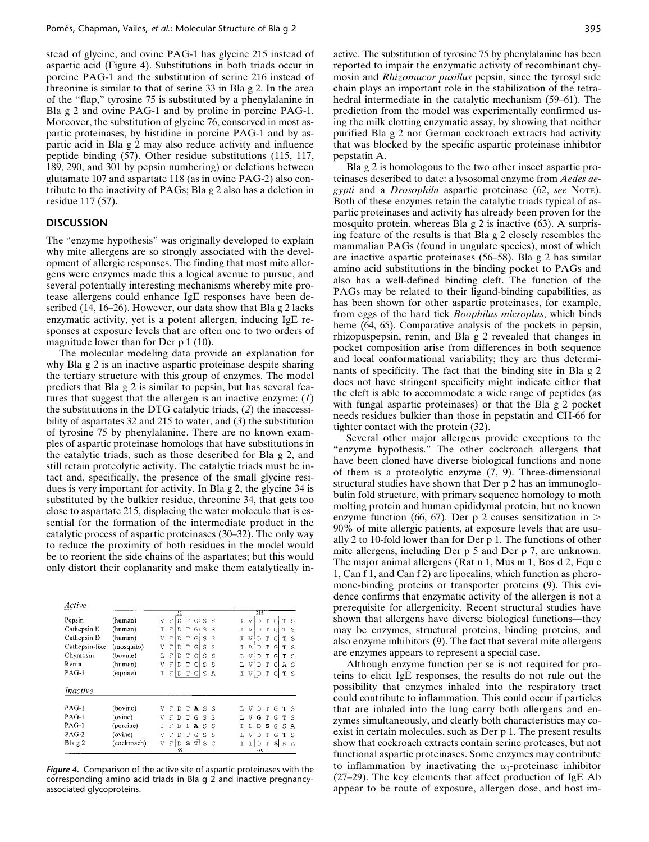stead of glycine, and ovine PAG-1 has glycine 215 instead of aspartic acid (Figure 4). Substitutions in both triads occur in porcine PAG-1 and the substitution of serine 216 instead of threonine is similar to that of serine 33 in Bla g 2. In the area of the "flap," tyrosine 75 is substituted by a phenylalanine in Bla g 2 and ovine PAG-1 and by proline in porcine PAG-1. Moreover, the substitution of glycine 76, conserved in most aspartic proteinases, by histidine in porcine PAG-1 and by aspartic acid in Bla g 2 may also reduce activity and influence peptide binding (57). Other residue substitutions (115, 117, 189, 290, and 301 by pepsin numbering) or deletions between glutamate 107 and aspartate 118 (as in ovine PAG-2) also contribute to the inactivity of PAGs; Bla g 2 also has a deletion in residue 117 (57).

## **DISCUSSION**

The "enzyme hypothesis" was originally developed to explain why mite allergens are so strongly associated with the development of allergic responses. The finding that most mite allergens were enzymes made this a logical avenue to pursue, and several potentially interesting mechanisms whereby mite protease allergens could enhance IgE responses have been described (14, 16–26). However, our data show that Bla g 2 lacks enzymatic activity, yet is a potent allergen, inducing IgE responses at exposure levels that are often one to two orders of magnitude lower than for Der p 1 (10).

The molecular modeling data provide an explanation for why Bla g 2 is an inactive aspartic proteinase despite sharing the tertiary structure with this group of enzymes. The model predicts that Bla g 2 is similar to pepsin, but has several features that suggest that the allergen is an inactive enzyme: (*1*) the substitutions in the DTG catalytic triads, (*2*) the inaccessibility of aspartates 32 and 215 to water, and (*3*) the substitution of tyrosine 75 by phenylalanine. There are no known examples of aspartic proteinase homologs that have substitutions in the catalytic triads, such as those described for Bla g 2, and still retain proteolytic activity. The catalytic triads must be intact and, specifically, the presence of the small glycine residues is very important for activity. In Bla g 2, the glycine 34 is substituted by the bulkier residue, threonine 34, that gets too close to aspartate 215, displacing the water molecule that is essential for the formation of the intermediate product in the catalytic process of aspartic proteinases (30–32). The only way to reduce the proximity of both residues in the model would be to reorient the side chains of the aspartates; but this would only distort their coplanarity and make them catalytically in-

| Active          |             |                                                   |                                             |
|-----------------|-------------|---------------------------------------------------|---------------------------------------------|
|                 |             | 32                                                | 215                                         |
| Pepsin          | (human)     | D<br>T<br>V<br>G<br>S<br>F<br>S                   | I<br>T<br>v<br>T<br>S<br>D<br>G             |
| Cathepsin E     | (human)     | T<br>F<br>т<br>Gl<br>S<br>Ð<br>S                  | Ţ<br>T<br>V<br>G<br>D<br>$\mathbf T$<br>S   |
| Cathepsin D     | (human)     | G<br>F<br>T<br>S<br>v<br>Đ<br>S                   | T<br>V<br>G<br>T<br>T<br>S<br>D             |
| Cathepsin-like  | (mosquito)  | G<br>V<br>F<br>T<br>S<br>D<br>S                   | Ţ<br>Α<br>Τ<br>Ġ<br>D<br>S<br>т             |
| Chymosin        | (bovine)    | $\Gamma$<br>G<br>Т<br>Ś<br>Г<br>$\mathbb{D}$<br>S | L<br>V<br>т<br>S<br>D<br>G<br>т             |
| Renin           | (human)     | F<br>Gl<br>V<br>D<br>т<br>S<br>S                  | L.<br>V<br>Ġ<br>Т<br>Ð<br>Α<br>S            |
| PAG-1           | (equine)    | F<br>I<br>T<br>G<br>S<br>D<br>$\mathbb{A}$        | T<br>V<br>D<br>T<br>G<br>T<br>S             |
| <i>Inactive</i> |             |                                                   |                                             |
|                 |             |                                                   |                                             |
| $PAG-1$         | (bovine)    | A<br>V<br>S<br>F<br>T<br>D<br>-S                  | V<br>T<br>G<br>T<br>-S<br>D                 |
| PAG-1           | (ovine)     | S<br>V<br>F<br>т<br>G<br>S<br>D                   | V<br>G<br><sup>S</sup><br>Τ.<br>G<br>т<br>т |
| PAG-1           | (porcine)   | F<br>T<br>А<br>S<br>S<br>D                        | Т.<br>s<br>G<br>S<br>D<br>A                 |
| <b>PAG-2</b>    | (ovine)     | G<br>ν<br>S<br>S<br>F<br>т<br>D                   | V<br>T<br>G<br>D<br>т<br>S                  |
| $Bla \gtrsim 2$ | (cockroach) | T<br>D<br>s<br>S<br>V<br>C<br>F                   | sl<br>١d<br>$\mathbb T$<br>T<br>T<br>К<br>Α |
|                 |             | 55                                                | 239                                         |

*Figure 4.* Comparison of the active site of aspartic proteinases with the corresponding amino acid triads in Bla g 2 and inactive pregnancyassociated glycoproteins.

Bla g 2 is homologous to the two other insect aspartic proteinases described to date: a lysosomal enzyme from *Aedes aegypti* and a *Drosophila* aspartic proteinase (62, *see* NOTE). Both of these enzymes retain the catalytic triads typical of aspartic proteinases and activity has already been proven for the mosquito protein, whereas Bla g 2 is inactive (63). A surprising feature of the results is that Bla g 2 closely resembles the mammalian PAGs (found in ungulate species), most of which are inactive aspartic proteinases (56–58). Bla g 2 has similar amino acid substitutions in the binding pocket to PAGs and also has a well-defined binding cleft. The function of the PAGs may be related to their ligand-binding capabilities, as has been shown for other aspartic proteinases, for example, from eggs of the hard tick *Boophilus microplus*, which binds heme  $(64, 65)$ . Comparative analysis of the pockets in pepsin, rhizopuspepsin, renin, and Bla g 2 revealed that changes in pocket composition arise from differences in both sequence and local conformational variability; they are thus determinants of specificity. The fact that the binding site in Bla g 2 does not have stringent specificity might indicate either that the cleft is able to accommodate a wide range of peptides (as with fungal aspartic proteinases) or that the Bla g 2 pocket needs residues bulkier than those in pepstatin and CH-66 for tighter contact with the protein (32).

Several other major allergens provide exceptions to the "enzyme hypothesis." The other cockroach allergens that have been cloned have diverse biological functions and none of them is a proteolytic enzyme (7, 9). Three-dimensional structural studies have shown that Der p 2 has an immunoglobulin fold structure, with primary sequence homology to moth molting protein and human epididymal protein, but no known enzyme function (66, 67). Der p 2 causes sensitization in  $>$ 90% of mite allergic patients, at exposure levels that are usually 2 to 10-fold lower than for Der p 1. The functions of other mite allergens, including Der p 5 and Der p 7, are unknown. The major animal allergens (Rat n 1, Mus m 1, Bos d 2, Equ c 1, Can f 1, and Can f 2) are lipocalins, which function as pheromone-binding proteins or transporter proteins (9). This evidence confirms that enzymatic activity of the allergen is not a prerequisite for allergenicity. Recent structural studies have shown that allergens have diverse biological functions—they may be enzymes, structural proteins, binding proteins, and also enzyme inhibitors (9). The fact that several mite allergens are enzymes appears to represent a special case.

Although enzyme function per se is not required for proteins to elicit IgE responses, the results do not rule out the possibility that enzymes inhaled into the respiratory tract could contribute to inflammation. This could occur if particles that are inhaled into the lung carry both allergens and enzymes simultaneously, and clearly both characteristics may coexist in certain molecules, such as Der p 1. The present results show that cockroach extracts contain serine proteases, but not functional aspartic proteinases. Some enzymes may contribute to inflammation by inactivating the  $\alpha_1$ -proteinase inhibitor (27–29). The key elements that affect production of IgE Ab appear to be route of exposure, allergen dose, and host im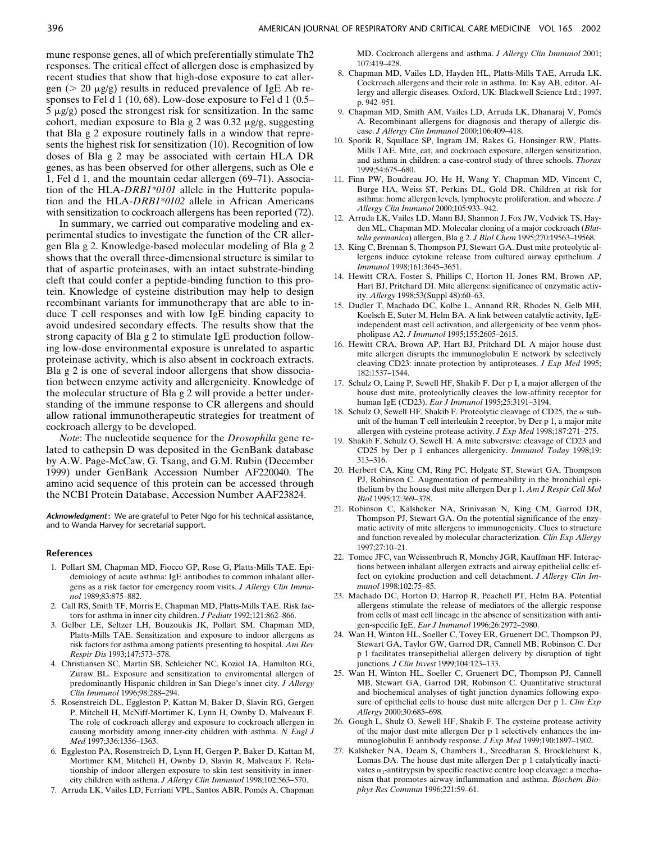mune response genes, all of which preferentially stimulate Th2 responses. The critical effect of allergen dose is emphasized by recent studies that show that high-dose exposure to cat allergen ( $> 20 \mu$ g/g) results in reduced prevalence of IgE Ab responses to Fel d 1 (10, 68). Low-dose exposure to Fel d 1 (0.5–  $5 \mu g/g$ ) posed the strongest risk for sensitization. In the same cohort, median exposure to Bla g 2 was  $0.32 \mu g/g$ , suggesting that Bla g 2 exposure routinely falls in a window that represents the highest risk for sensitization (10). Recognition of low doses of Bla g 2 may be associated with certain HLA DR genes, as has been observed for other allergens, such as Ole e 1, Fel d 1, and the mountain cedar allergen (69–71). Association of the HLA-*DRB1\*0101* allele in the Hutterite population and the HLA-*DRB1\*0102* allele in African Americans with sensitization to cockroach allergens has been reported (72).

In summary, we carried out comparative modeling and experimental studies to investigate the function of the CR allergen Bla g 2. Knowledge-based molecular modeling of Bla g 2 shows that the overall three-dimensional structure is similar to that of aspartic proteinases, with an intact substrate-binding cleft that could confer a peptide-binding function to this protein. Knowledge of cysteine distribution may help to design recombinant variants for immunotherapy that are able to induce T cell responses and with low IgE binding capacity to avoid undesired secondary effects. The results show that the strong capacity of Bla g 2 to stimulate IgE production following low-dose environmental exposure is unrelated to aspartic proteinase activity, which is also absent in cockroach extracts. Bla g 2 is one of several indoor allergens that show dissociation between enzyme activity and allergenicity. Knowledge of the molecular structure of Bla g 2 will provide a better understanding of the immune response to CR allergens and should allow rational immunotherapeutic strategies for treatment of cockroach allergy to be developed.

*Note*: The nucleotide sequence for the *Drosophila* gene related to cathepsin D was deposited in the GenBank database by A.W. Page-McCaw, G. Tsang, and G.M. Rubin (December 1999) under GenBank Accession Number AF220040. The amino acid sequence of this protein can be accessed through the NCBI Protein Database, Accession Number AAF23824.

*Acknowledgment***:** We are grateful to Peter Ngo for his technical assistance, and to Wanda Harvey for secretarial support.

#### **References**

- 1. Pollart SM, Chapman MD, Fiocco GP, Rose G, Platts-Mills TAE. Epidemiology of acute asthma: IgE antibodies to common inhalant allergens as a risk factor for emergency room visits. *J Allergy Clin Immunol* 1989;83:875–882.
- 2. Call RS, Smith TF, Morris E, Chapman MD, Platts-Mills TAE. Risk factors for asthma in inner city children. *J Pediatr* 1992;121:862–866.
- 3. Gelber LE, Seltzer LH, Bouzoukis JK, Pollart SM, Chapman MD, Platts-Mills TAE. Sensitization and exposure to indoor allergens as risk factors for asthma among patients presenting to hospital. *Am Rev Respir Dis* 1993;147:573–578.
- 4. Christiansen SC, Martin SB, Schleicher NC, Koziol JA, Hamilton RG, Zuraw BL. Exposure and sensitization to enviromental allergen of predominantly Hispanic children in San Diego's inner city. *J Allergy Clin Immunol* 1996;98:288–294.
- 5. Rosenstreich DL, Eggleston P, Kattan M, Baker D, Slavin RG, Gergen P, Mitchell H, McNiff-Mortimer K, Lynn H, Ownby D, Malveaux F. The role of cockroach allergy and exposure to cockroach allergen in causing morbidity among inner-city children with asthma. *N Engl J Med* 1997;336:1356–1363.
- 6. Eggleston PA, Rosenstreich D, Lynn H, Gergen P, Baker D, Kattan M, Mortimer KM, Mitchell H, Ownby D, Slavin R, Malveaux F. Relationship of indoor allergen exposure to skin test sensitivity in innercity children with asthma. *J Allergy Clin Immunol* 1998;102:563–570.
- 7. Arruda LK, Vailes LD, Ferriani VPL, Santos ABR, Pomés A, Chapman

MD. Cockroach allergens and asthma. *J Allergy Clin Immunol* 2001; 107:419–428.

- 8. Chapman MD, Vailes LD, Hayden HL, Platts-Mills TAE, Arruda LK. Cockroach allergens and their role in asthma. In: Kay AB, editor. Allergy and allergic diseases. Oxford, UK: Blackwell Science Ltd.; 1997. p. 942–951.
- 9. Chapman MD, Smith AM, Vailes LD, Arruda LK, Dhanaraj V, Pomés A. Recombinant allergens for diagnosis and therapy of allergic disease. *J Allergy Clin Immunol* 2000;106:409–418.
- 10. Sporik R, Squillace SP, Ingram JM, Rakes G, Honsinger RW, Platts-Mills TAE. Mite, cat, and cockroach exposure, allergen sensitization, and asthma in children: a case-control study of three schools. *Thorax* 1999;54:675–680.
- 11. Finn PW, Boudreau JO, He H, Wang Y, Chapman MD, Vincent C, Burge HA, Weiss ST, Perkins DL, Gold DR. Children at risk for asthma: home allergen levels, lymphocyte proliferation, and wheeze. *J Allergy Clin Immunol* 2000;105:933–942.
- 12. Arruda LK, Vailes LD, Mann BJ, Shannon J, Fox JW, Vedvick TS, Hayden ML, Chapman MD. Molecular cloning of a major cockroach (*Blattella germanica*) allergen, Bla g 2. *J Biol Chem* 1995;270:19563–19568.
- 13. King C, Brennan S, Thompson PJ, Stewart GA. Dust mite proteolytic allergens induce cytokine release from cultured airway epithelium. *J Immunol* 1998;161:3645–3651.
- 14. Hewitt CRA, Foster S, Phillips C, Horton H, Jones RM, Brown AP, Hart BJ, Pritchard DI. Mite allergens: significance of enzymatic activity. *Allergy* 1998;53(Suppl 48):60–63.
- 15. Dudler T, Machado DC, Kolbe L, Annand RR, Rhodes N, Gelb MH, Koelsch E, Suter M, Helm BA. A link between catalytic activity, IgEindependent mast cell activation, and allergenicity of bee venm phospholipase A2. *J Immunol* 1995;155:2605–2615.
- 16. Hewitt CRA, Brown AP, Hart BJ, Pritchard DI. A major house dust mite allergen disrupts the immunoglobulin E network by selectively cleaving CD23: innate protection by antiproteases. *J Exp Med* 1995; 182:1537–1544.
- 17. Schulz O, Laing P, Sewell HF, Shakib F. Der p I, a major allergen of the house dust mite, proteolytically cleaves the low-affinity receptor for human IgE (CD23). *Eur J Immunol* 1995;25:3191–3194.
- 18. Schulz O, Sewell HF, Shakib F. Proteolytic cleavage of CD25, the  $\alpha$  subunit of the human T cell interleukin 2 receptor, by Der p 1, a major mite allergen with cysteine protease activity. *J Exp Med* 1998;187:271–275.
- 19. Shakib F, Schulz O, Sewell H. A mite subversive: cleavage of CD23 and CD25 by Der p 1 enhances allergenicity. *Immunol Today* 1998;19: 313–316.
- 20. Herbert CA, King CM, Ring PC, Holgate ST, Stewart GA, Thompson PJ, Robinson C. Augmentation of permeability in the bronchial epithelium by the house dust mite allergen Der p 1. *Am J Respir Cell Mol Biol* 1995;12:369–378.
- 21. Robinson C, Kalsheker NA, Srinivasan N, King CM, Garrod DR, Thompson PJ, Stewart GA. On the potential significance of the enzymatic activity of mite allergens to immunogenicity. Clues to structure and function revealed by molecular characterization. *Clin Exp Allergy* 1997;27:10–21.
- 22. Tomee JFC, van Weissenbruch R, Monchy JGR, Kauffman HF. Interactions between inhalant allergen extracts and airway epithelial cells: effect on cytokine production and cell detachment. *J Allergy Clin Immunol* 1998;102:75–85.
- 23. Machado DC, Horton D, Harrop R, Peachell PT, Helm BA. Potential allergens stimulate the release of mediators of the allergic response from cells of mast cell lineage in the absence of sensitization with antigen-specific IgE. *Eur J Immunol* 1996;26:2972–2980.
- 24. Wan H, Winton HL, Soeller C, Tovey ER, Gruenert DC, Thompson PJ, Stewart GA, Taylor GW, Garrod DR, Cannell MB, Robinson C. Der p 1 facilitates transepithelial allergen delivery by disruption of tight junctions. *J Clin Invest* 1999;104:123–133.
- 25. Wan H, Winton HL, Soeller C, Gruenert DC, Thompson PJ, Cannell MB, Stewart GA, Garrod DR, Robinson C. Quantitative structural and biochemical analyses of tight junction dynamics following exposure of epithelial cells to house dust mite allergen Der p 1. *Clin Exp Allergy* 2000;30:685–698.
- 26. Gough L, Shulz O, Sewell HF, Shakib F. The cysteine protease activity of the major dust mite allergen Der p 1 selectively enhances the immunoglobulin E antibody response. *J Exp Med* 1999;190:1897–1902.
- 27. Kalsheker NA, Deam S, Chambers L, Sreedharan S, Brocklehurst K, Lomas DA. The house dust mite allergen Der p 1 catalytically inactivates  $\alpha_1$ -antitrypsin by specific reactive centre loop cleavage: a mechanism that promotes airway inflammation and asthma. *Biochem Biophys Res Commun* 1996;221:59–61.